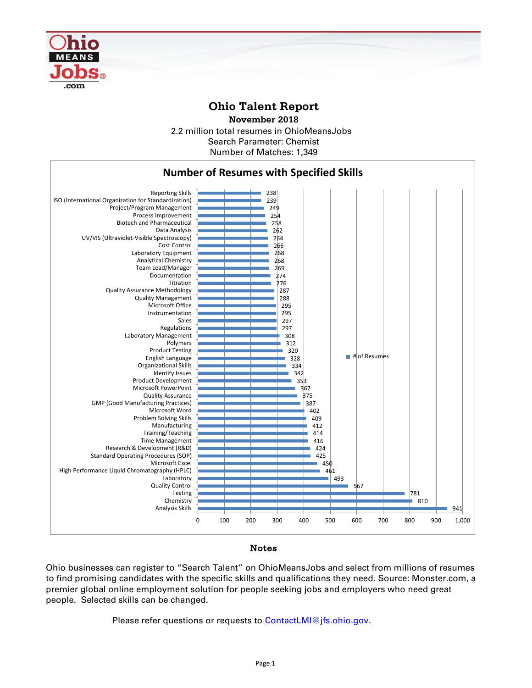

## **Ohio Talent Report**

2.2 million total resumes in OhioMeansJobs Number of Matches: 1,349 **November 2018** Search Parameter: Chemist



## Notes

Ohio businesses can register to "Search Talent" on OhioMeansJobs and select from millions of resumes to find promising candidates with the specific skills and qualifications they need. Source: Monster.com, a premier global online employment solution for people seeking jobs and employers who need great people. Selected skills can be changed.

Please refer questions or requests to [ContactLMI@jfs.ohio.gov.](mailto:ContactLMI@jfs.ohio.gov.)